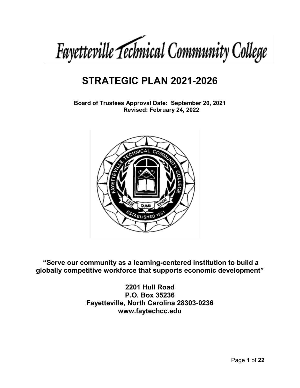

# **STRATEGIC PLAN 2021-2026**

**Board of Trustees Approval Date: September 20, 2021 Revised: February 24, 2022**



**"Serve our community as a learning-centered institution to build a globally competitive workforce that supports economic development"**

> **2201 Hull Road P.O. Box 35236 Fayetteville, North Carolina 28303-0236 www.faytechcc.edu**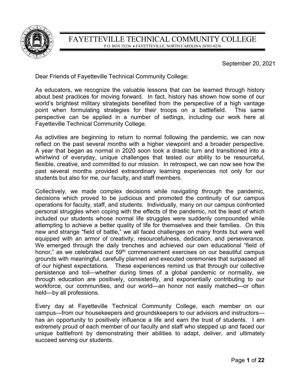

September 20, 2021

Dear Friends of Fayetteville Technical Community College:

As educators, we recognize the valuable lessons that can be learned through history about best practices for moving forward. In fact, history has shown how some of our world's brightest military strategists benefited from the perspective of a high vantage point when formulating strategies for their troops on a battlefield. This same perspective can be applied in a number of settings, including our work here at Fayetteville Technical Community College.

As activities are beginning to return to normal following the pandemic, we can now reflect on the past several months with a higher viewpoint and a broader perspective. A year that began as normal in 2020 soon took a drastic turn and transitioned into a whirlwind of everyday, unique challenges that tested our ability to be resourceful, flexible, creative, and committed to our mission. In retrospect, we can now see how the past several months provided extraordinary learning experiences not only for our students but also for me, our faculty, and staff members.

Collectively, we made complex decisions while navigating through the pandemic, decisions which proved to be judicious and promoted the continuity of our campus operations for faculty, staff, and students. Individually, many on our campus confronted personal struggles when coping with the effects of the pandemic, not the least of which included our students whose normal life struggles were suddenly compounded while attempting to achieve a better quality of life for themselves and their families. On this new and strange "field of battle," we all faced challenges on many fronts but were well equipped with an armor of creativity, resourcefulness, dedication, and perseverance. We emerged through the daily trenches and achieved our own educational "field of honor," as we celebrated our 59<sup>th</sup> commencement exercises on our beautiful campus grounds with meaningful, carefully planned and executed ceremonies that surpassed all of our highest expectations. These experiences remind us that through our collective persistence and toil—whether during times of a global pandemic or normality, we through education are positively, consistently, and exponentially contributing to our workforce, our communities, and our world—an honor not easily matched—or often held—by all professions.

Every day at Fayetteville Technical Community College, each member on our campus—from our housekeepers and groundskeepers to our advisors and instructors has an opportunity to positively influence a life and earn the trust of students. I am extremely proud of each member of our faculty and staff who stepped up and faced our unique battlefront by demonstrating their abilities to adapt, deliver, and ultimately succeed serving our students.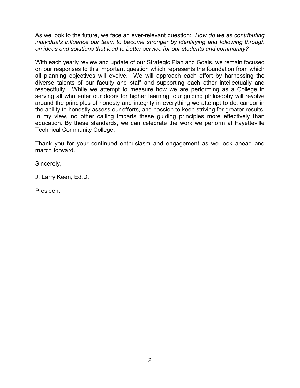As we look to the future, we face an ever-relevant question: *How do we as contributing individuals influence our team to become stronger by identifying and following through on ideas and solutions that lead to better service for our students and community?* 

With each yearly review and update of our Strategic Plan and Goals, we remain focused on our responses to this important question which represents the foundation from which all planning objectives will evolve. We will approach each effort by harnessing the diverse talents of our faculty and staff and supporting each other intellectually and respectfully. While we attempt to measure how we are performing as a College in serving all who enter our doors for higher learning, our guiding philosophy will revolve around the principles of honesty and integrity in everything we attempt to do, candor in the ability to honestly assess our efforts, and passion to keep striving for greater results. In my view, no other calling imparts these guiding principles more effectively than education. By these standards, we can celebrate the work we perform at Fayetteville Technical Community College.

Thank you for your continued enthusiasm and engagement as we look ahead and march forward.

Sincerely,

J. Larry Keen, Ed.D.

President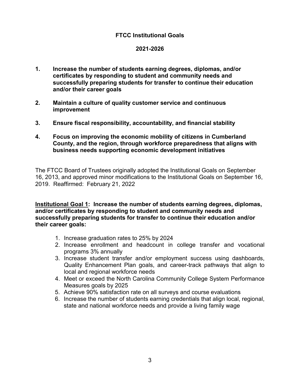# **FTCC Institutional Goals**

#### **2021-2026**

- **1. Increase the number of students earning degrees, diplomas, and/or certificates by responding to student and community needs and successfully preparing students for transfer to continue their education and/or their career goals**
- **2. Maintain a culture of quality customer service and continuous improvement**
- **3. Ensure fiscal responsibility, accountability, and financial stability**
- **4. Focus on improving the economic mobility of citizens in Cumberland County, and the region, through workforce preparedness that aligns with business needs supporting economic development initiatives**

The FTCC Board of Trustees originally adopted the Institutional Goals on September 16, 2013, and approved minor modifications to the Institutional Goals on September 16, 2019. Reaffirmed: February 21, 2022

**Institutional Goal 1: Increase the number of students earning degrees, diplomas, and/or certificates by responding to student and community needs and successfully preparing students for transfer to continue their education and/or their career goals:**

- 1. Increase graduation rates to 25% by 2024
- 2. Increase enrollment and headcount in college transfer and vocational programs 3% annually
- 3. Increase student transfer and/or employment success using dashboards, Quality Enhancement Plan goals, and career-track pathways that align to local and regional workforce needs
- 4. Meet or exceed the North Carolina Community College System Performance Measures goals by 2025
- 5. Achieve 90% satisfaction rate on all surveys and course evaluations
- 6. Increase the number of students earning credentials that align local, regional, state and national workforce needs and provide a living family wage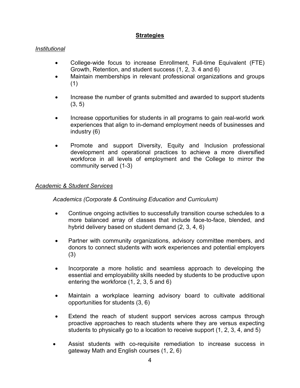# **Strategies**

# *Institutional*

- College-wide focus to increase Enrollment, Full-time Equivalent (FTE) Growth, Retention, and student success (1, 2, 3. 4 and 6)
- Maintain memberships in relevant professional organizations and groups (1)
- Increase the number of grants submitted and awarded to support students  $(3, 5)$
- Increase opportunities for students in all programs to gain real-world work experiences that align to in-demand employment needs of businesses and industry (6)
- Promote and support Diversity, Equity and Inclusion professional development and operational practices to achieve a more diversified workforce in all levels of employment and the College to mirror the community served (1-3)

## *Academic & Student Services*

*Academics (Corporate & Continuing Education and Curriculum)*

- Continue ongoing activities to successfully transition course schedules to a more balanced array of classes that include face-to-face, blended, and hybrid delivery based on student demand (2, 3, 4, 6)
- Partner with community organizations, advisory committee members, and donors to connect students with work experiences and potential employers (3)
- Incorporate a more holistic and seamless approach to developing the essential and employability skills needed by students to be productive upon entering the workforce (1, 2, 3, 5 and 6)
- Maintain a workplace learning advisory board to cultivate additional opportunities for students (3, 6)
- Extend the reach of student support services across campus through proactive approaches to reach students where they are versus expecting students to physically go to a location to receive support (1, 2, 3, 4, and 5)
- Assist students with co-requisite remediation to increase success in gateway Math and English courses (1, 2, 6)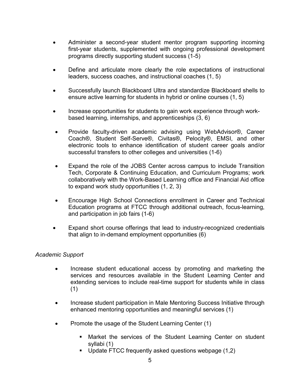- Administer a second-year student mentor program supporting incoming first-year students, supplemented with ongoing professional development programs directly supporting student success (1-5)
- Define and articulate more clearly the role expectations of instructional leaders, success coaches, and instructional coaches (1, 5)
- Successfully launch Blackboard Ultra and standardize Blackboard shells to ensure active learning for students in hybrid or online courses (1, 5)
- Increase opportunities for students to gain work experience through workbased learning, internships, and apprenticeships (3, 6)
- Provide faculty-driven academic advising using WebAdvisor®, Career Coach®, Student Self-Serve®, Civitas®, Pelocity®, EMSI, and other electronic tools to enhance identification of student career goals and/or successful transfers to other colleges and universities (1-6)
- Expand the role of the JOBS Center across campus to include Transition Tech, Corporate & Continuing Education, and Curriculum Programs; work collaboratively with the Work-Based Learning office and Financial Aid office to expand work study opportunities (1, 2, 3)
- Encourage High School Connections enrollment in Career and Technical Education programs at FTCC through additional outreach, focus-learning, and participation in job fairs (1-6)
- Expand short course offerings that lead to industry-recognized credentials that align to in-demand employment opportunities (6)

## *Academic Support*

- Increase student educational access by promoting and marketing the services and resources available in the Student Learning Center and extending services to include real-time support for students while in class (1)
- Increase student participation in Male Mentoring Success Initiative through enhanced mentoring opportunities and meaningful services (1)
- Promote the usage of the Student Learning Center (1)
	- Market the services of the Student Learning Center on student syllabi (1)
	- Update FTCC frequently asked questions webpage (1,2)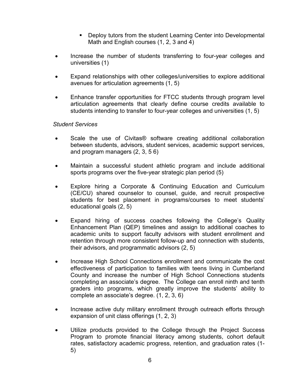- Deploy tutors from the student Learning Center into Developmental Math and English courses (1, 2, 3 and 4)
- Increase the number of students transferring to four-year colleges and universities (1)
- Expand relationships with other colleges/universities to explore additional avenues for articulation agreements (1, 5)
- Enhance transfer opportunities for FTCC students through program level articulation agreements that clearly define course credits available to students intending to transfer to four-year colleges and universities (1, 5)

## *Student Services*

- Scale the use of Civitas® software creating additional collaboration between students, advisors, student services, academic support services, and program managers (2, 3, 5 6)
- Maintain a successful student athletic program and include additional sports programs over the five-year strategic plan period (5)
- Explore hiring a Corporate & Continuing Education and Curriculum (CE/CU) shared counselor to counsel, guide, and recruit prospective students for best placement in programs/courses to meet students' educational goals (2, 5)
- Expand hiring of success coaches following the College's Quality Enhancement Plan (QEP) timelines and assign to additional coaches to academic units to support faculty advisors with student enrollment and retention through more consistent follow-up and connection with students, their advisors, and programmatic advisors (2, 5)
- Increase High School Connections enrollment and communicate the cost effectiveness of participation to families with teens living in Cumberland County and increase the number of High School Connections students completing an associate's degree. The College can enroll ninth and tenth graders into programs, which greatly improve the students' ability to complete an associate's degree. (1, 2, 3, 6)
- Increase active duty military enrollment through outreach efforts through expansion of unit class offerings (1, 2, 3)
- Utilize products provided to the College through the Project Success Program to promote financial literacy among students, cohort default rates, satisfactory academic progress, retention, and graduation rates (1- 5)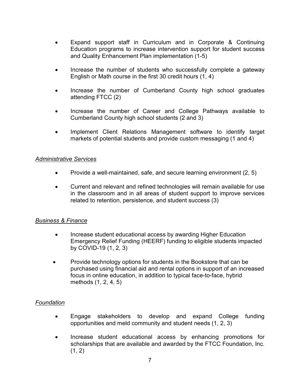- Expand support staff in Curriculum and in Corporate & Continuing Education programs to increase intervention support for student success and Quality Enhancement Plan implementation (1-5)
- Increase the number of students who successfully complete a gateway English or Math course in the first 30 credit hours (1, 4)
- Increase the number of Cumberland County high school graduates attending FTCC (2)
- Increase the number of Career and College Pathways available to Cumberland County high school students (2 and 3)
- Implement Client Relations Management software to identify target markets of potential students and provide custom messaging (1 and 4)

## *Administrative Services*

- Provide a well-maintained, safe, and secure learning environment (2, 5)
- Current and relevant and refined technologies will remain available for use in the classroom and in all areas of student support to improve services related to retention, persistence, and student success (3)

## *Business & Finance*

- Increase student educational access by awarding Higher Education Emergency Relief Funding (HEERF) funding to eligible students impacted by COVID-19 (1, 2, 3)
- Provide technology options for students in the Bookstore that can be purchased using financial aid and rental options in support of an increased focus in online education, in addition to typical face-to-face, hybrid methods (1, 2, 4, 5)

## *Foundation*

- Engage stakeholders to develop and expand College funding opportunities and meld community and student needs (1, 2, 3)
- Increase student educational access by enhancing promotions for scholarships that are available and awarded by the FTCC Foundation, Inc.  $(1, 2)$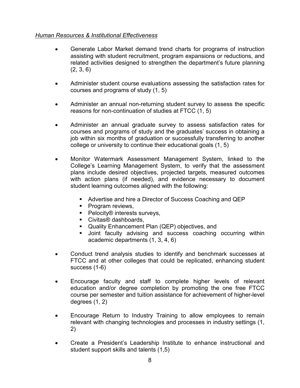# *Human Resources & Institutional Effectiveness*

- Generate Labor Market demand trend charts for programs of instruction assisting with student recruitment, program expansions or reductions, and related activities designed to strengthen the department's future planning (2, 3, 6)
- Administer student course evaluations assessing the satisfaction rates for courses and programs of study (1, 5)
- Administer an annual non-returning student survey to assess the specific reasons for non-continuation of studies at FTCC (1, 5)
- Administer an annual graduate survey to assess satisfaction rates for courses and programs of study and the graduates' success in obtaining a job within six months of graduation or successfully transferring to another college or university to continue their educational goals (1, 5)
- Monitor Watermark Assessment Management System, linked to the College's Learning Management System, to verify that the assessment plans include desired objectives, projected targets, measured outcomes with action plans (if needed), and evidence necessary to document student learning outcomes aligned with the following:
	- Advertise and hire a Director of Success Coaching and QEP
	- Program reviews,
	- Pelocity® interests surveys,
	- Civitas<sup>®</sup> dashboards,
	- Quality Enhancement Plan (QEP) objectives, and
	- Joint faculty advising and success coaching occurring within academic departments (1, 3, 4, 6)
- Conduct trend analysis studies to identify and benchmark successes at FTCC and at other colleges that could be replicated, enhancing student success (1-6)
- Encourage faculty and staff to complete higher levels of relevant education and/or degree completion by promoting the one free FTCC course per semester and tuition assistance for achievement of higher-level degrees (1, 2)
- Encourage Return to Industry Training to allow employees to remain relevant with changing technologies and processes in industry settings (1, 2)
- Create a President's Leadership Institute to enhance instructional and student support skills and talents (1,5)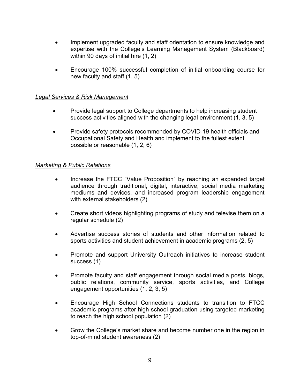- Implement upgraded faculty and staff orientation to ensure knowledge and expertise with the College's Learning Management System (Blackboard) within 90 days of initial hire (1, 2)
- Encourage 100% successful completion of initial onboarding course for new faculty and staff (1, 5)

## *Legal Services & Risk Management*

- Provide legal support to College departments to help increasing student success activities aligned with the changing legal environment (1, 3, 5)
- Provide safety protocols recommended by COVID-19 health officials and Occupational Safety and Health and implement to the fullest extent possible or reasonable (1, 2, 6)

# *Marketing & Public Relations*

- Increase the FTCC "Value Proposition" by reaching an expanded target audience through traditional, digital, interactive, social media marketing mediums and devices, and increased program leadership engagement with external stakeholders (2)
- Create short videos highlighting programs of study and televise them on a regular schedule (2)
- Advertise success stories of students and other information related to sports activities and student achievement in academic programs (2, 5)
- Promote and support University Outreach initiatives to increase student success (1)
- Promote faculty and staff engagement through social media posts, blogs, public relations, community service, sports activities, and College engagement opportunities (1, 2, 3, 5)
- Encourage High School Connections students to transition to FTCC academic programs after high school graduation using targeted marketing to reach the high school population (2)
- Grow the College's market share and become number one in the region in top-of-mind student awareness (2)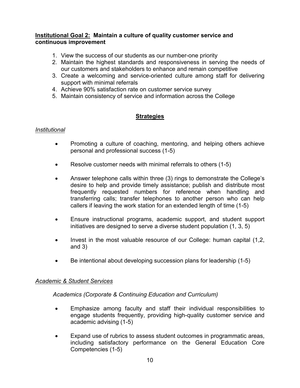## **Institutional Goal 2: Maintain a culture of quality customer service and continuous improvement**

- 1. View the success of our students as our number-one priority
- 2. Maintain the highest standards and responsiveness in serving the needs of our customers and stakeholders to enhance and remain competitive
- 3. Create a welcoming and service-oriented culture among staff for delivering support with minimal referrals
- 4. Achieve 90% satisfaction rate on customer service survey
- 5. Maintain consistency of service and information across the College

# **Strategies**

## *Institutional*

- Promoting a culture of coaching, mentoring, and helping others achieve personal and professional success (1-5)
- Resolve customer needs with minimal referrals to others (1-5)
- Answer telephone calls within three (3) rings to demonstrate the College's desire to help and provide timely assistance; publish and distribute most frequently requested numbers for reference when handling and transferring calls; transfer telephones to another person who can help callers if leaving the work station for an extended length of time (1-5)
- Ensure instructional programs, academic support, and student support initiatives are designed to serve a diverse student population (1, 3, 5)
- Invest in the most valuable resource of our College: human capital (1,2, and 3)
- Be intentional about developing succession plans for leadership (1-5)

# *Academic & Student Services*

*Academics (Corporate & Continuing Education and Curriculum)*

- Emphasize among faculty and staff their individual responsibilities to engage students frequently, providing high-quality customer service and academic advising (1-5)
- Expand use of rubrics to assess student outcomes in programmatic areas, including satisfactory performance on the General Education Core Competencies (1-5)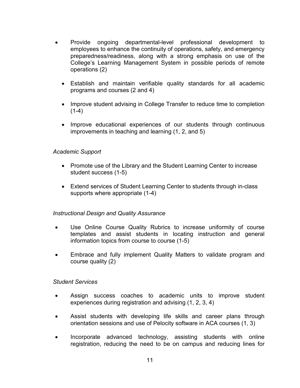- Provide ongoing departmental-level professional development to employees to enhance the continuity of operations, safety, and emergency preparedness/readiness, along with a strong emphasis on use of the College's Learning Management System in possible periods of remote operations (2)
	- Establish and maintain verifiable quality standards for all academic programs and courses (2 and 4)
	- Improve student advising in College Transfer to reduce time to completion  $(1-4)$
	- Improve educational experiences of our students through continuous improvements in teaching and learning (1, 2, and 5)

## *Academic Support*

- Promote use of the Library and the Student Learning Center to increase student success (1-5)
- Extend services of Student Learning Center to students through in-class supports where appropriate (1-4)

## *Instructional Design and Quality Assurance*

- Use Online Course Quality Rubrics to increase uniformity of course templates and assist students in locating instruction and general information topics from course to course (1-5)
- Embrace and fully implement Quality Matters to validate program and course quality (2)

## *Student Services*

- Assign success coaches to academic units to improve student experiences during registration and advising (1, 2, 3, 4)
- Assist students with developing life skills and career plans through orientation sessions and use of Pelocity software in ACA courses (1, 3)
- Incorporate advanced technology, assisting students with online registration, reducing the need to be on campus and reducing lines for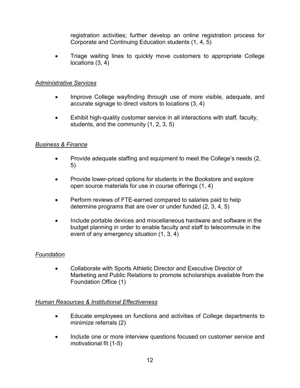registration activities; further develop an online registration process for Corporate and Continuing Education students (1, 4, 5)

• Triage waiting lines to quickly move customers to appropriate College locations (3, 4)

# *Administrative Services*

- Improve College wayfinding through use of more visible, adequate, and accurate signage to direct visitors to locations (3, 4)
- Exhibit high-quality customer service in all interactions with staff, faculty, students, and the community (1, 2, 3, 5)

# *Business & Finance*

- Provide adequate staffing and equipment to meet the College's needs (2, 5)
- Provide lower-priced options for students in the Bookstore and explore open source materials for use in course offerings (1, 4)
- Perform reviews of FTE-earned compared to salaries paid to help determine programs that are over or under funded (2, 3, 4, 5)
- Include portable devices and miscellaneous hardware and software in the budget planning in order to enable faculty and staff to telecommute in the event of any emergency situation (1, 3, 4)

# *Foundation*

• Collaborate with Sports Athletic Director and Executive Director of Marketing and Public Relations to promote scholarships available from the Foundation Office (1)

## *Human Resources & Institutional Effectiveness*

- Educate employees on functions and activities of College departments to minimize referrals (2)
- Include one or more interview questions focused on customer service and motivational fit (1-5)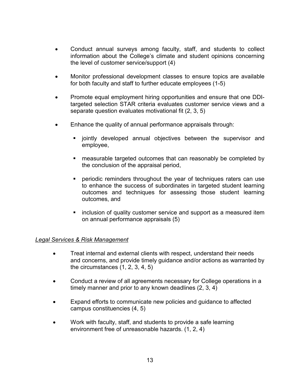- Conduct annual surveys among faculty, staff, and students to collect information about the College's climate and student opinions concerning the level of customer service/support (4)
- Monitor professional development classes to ensure topics are available for both faculty and staff to further educate employees (1-5)
- Promote equal employment hiring opportunities and ensure that one DDItargeted selection STAR criteria evaluates customer service views and a separate question evaluates motivational fit (2, 3, 5)
- Enhance the quality of annual performance appraisals through:
	- **E** jointly developed annual objectives between the supervisor and employee,
	- measurable targeted outcomes that can reasonably be completed by the conclusion of the appraisal period,
	- periodic reminders throughout the year of techniques raters can use to enhance the success of subordinates in targeted student learning outcomes and techniques for assessing those student learning outcomes, and
	- **EXT** inclusion of quality customer service and support as a measured item on annual performance appraisals (5)

## *Legal Services & Risk Management*

- Treat internal and external clients with respect, understand their needs and concerns, and provide timely guidance and/or actions as warranted by the circumstances (1, 2, 3, 4, 5)
- Conduct a review of all agreements necessary for College operations in a timely manner and prior to any known deadlines (2, 3, 4)
- Expand efforts to communicate new policies and guidance to affected campus constituencies (4, 5)
- Work with faculty, staff, and students to provide a safe learning environment free of unreasonable hazards. (1, 2, 4)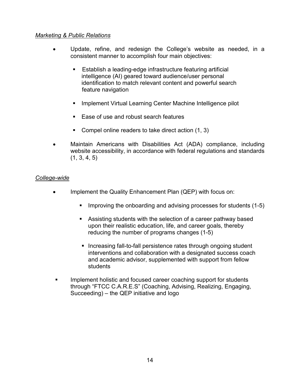## *Marketing & Public Relations*

- Update, refine, and redesign the College's website as needed, in a consistent manner to accomplish four main objectives:
	- Establish a leading-edge infrastructure featuring artificial intelligence (AI) geared toward audience/user personal identification to match relevant content and powerful search feature navigation
	- Implement Virtual Learning Center Machine Intelligence pilot
	- Ease of use and robust search features
	- Compel online readers to take direct action (1, 3)
- Maintain Americans with Disabilities Act (ADA) compliance, including website accessibility, in accordance with federal regulations and standards  $(1, 3, 4, 5)$

## *College-wide*

- Implement the Quality Enhancement Plan (QEP) with focus on:
	- Improving the onboarding and advising processes for students (1-5)
	- Assisting students with the selection of a career pathway based upon their realistic education, life, and career goals, thereby reducing the number of programs changes (1-5)
	- Increasing fall-to-fall persistence rates through ongoing student interventions and collaboration with a designated success coach and academic advisor, supplemented with support from fellow students
- Implement holistic and focused career coaching support for students through "FTCC C.A.R.E.S" (Coaching, Advising, Realizing, Engaging, Succeeding) – the QEP initiative and logo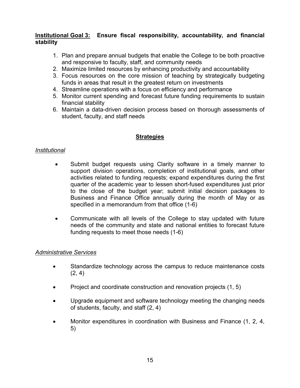# **Institutional Goal 3: Ensure fiscal responsibility, accountability, and financial stability**

- 1. Plan and prepare annual budgets that enable the College to be both proactive and responsive to faculty, staff, and community needs
- 2. Maximize limited resources by enhancing productivity and accountability
- 3. Focus resources on the core mission of teaching by strategically budgeting funds in areas that result in the greatest return on investments
- 4. Streamline operations with a focus on efficiency and performance
- 5. Monitor current spending and forecast future funding requirements to sustain financial stability
- 6. Maintain a data-driven decision process based on thorough assessments of student, faculty, and staff needs

# **Strategies**

## *Institutional*

- Submit budget requests using Clarity software in a timely manner to support division operations, completion of institutional goals, and other activities related to funding requests; expand expenditures during the first quarter of the academic year to lessen short-fused expenditures just prior to the close of the budget year; submit initial decision packages to Business and Finance Office annually during the month of May or as specified in a memorandum from that office (1-6)
- Communicate with all levels of the College to stay updated with future needs of the community and state and national entities to forecast future funding requests to meet those needs (1-6)

# *Administrative Services*

- Standardize technology across the campus to reduce maintenance costs  $(2, 4)$
- Project and coordinate construction and renovation projects (1, 5)
- Upgrade equipment and software technology meeting the changing needs of students, faculty, and staff (2, 4)
- Monitor expenditures in coordination with Business and Finance (1, 2, 4, 5)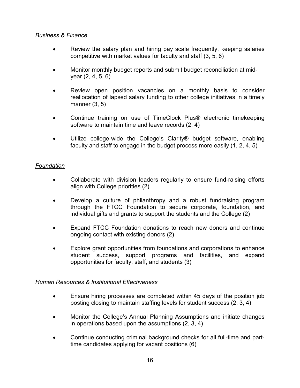# *Business & Finance*

- Review the salary plan and hiring pay scale frequently, keeping salaries competitive with market values for faculty and staff (3, 5, 6)
- Monitor monthly budget reports and submit budget reconciliation at midyear (2, 4, 5, 6)
- Review open position vacancies on a monthly basis to consider reallocation of lapsed salary funding to other college initiatives in a timely manner (3, 5)
- Continue training on use of TimeClock Plus® electronic timekeeping software to maintain time and leave records (2, 4)
- Utilize college-wide the College's Clarity® budget software, enabling faculty and staff to engage in the budget process more easily (1, 2, 4, 5)

## *Foundation*

- Collaborate with division leaders regularly to ensure fund-raising efforts align with College priorities (2)
- Develop a culture of philanthropy and a robust fundraising program through the FTCC Foundation to secure corporate, foundation, and individual gifts and grants to support the students and the College (2)
- Expand FTCC Foundation donations to reach new donors and continue ongoing contact with existing donors (2)
- Explore grant opportunities from foundations and corporations to enhance student success, support programs and facilities, and expand opportunities for faculty, staff, and students (3)

# *Human Resources & Institutional Effectiveness*

- Ensure hiring processes are completed within 45 days of the position job posting closing to maintain staffing levels for student success (2, 3, 4)
- Monitor the College's Annual Planning Assumptions and initiate changes in operations based upon the assumptions (2, 3, 4)
- Continue conducting criminal background checks for all full-time and parttime candidates applying for vacant positions (6)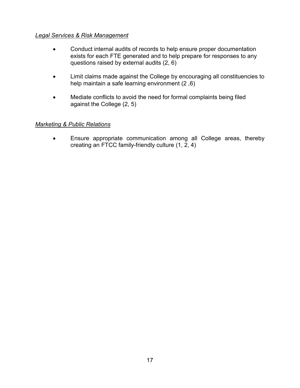# *Legal Services & Risk Management*

- Conduct internal audits of records to help ensure proper documentation exists for each FTE generated and to help prepare for responses to any questions raised by external audits (2, 6)
- Limit claims made against the College by encouraging all constituencies to help maintain a safe learning environment (2 ,6)
- Mediate conflicts to avoid the need for formal complaints being filed against the College (2, 5)

## *Marketing & Public Relations*

• Ensure appropriate communication among all College areas, thereby creating an FTCC family-friendly culture (1, 2, 4)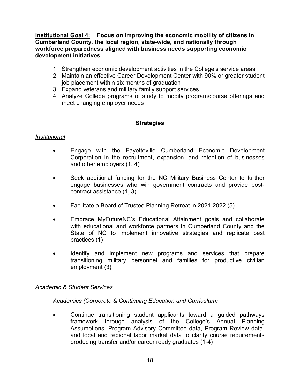**Institutional Goal 4: Focus on improving the economic mobility of citizens in Cumberland County, the local region, state-wide, and nationally through workforce preparedness aligned with business needs supporting economic development initiatives**

- 1. Strengthen economic development activities in the College's service areas
- 2. Maintain an effective Career Development Center with 90% or greater student job placement within six months of graduation
- 3. Expand veterans and military family support services
- 4. Analyze College programs of study to modify program/course offerings and meet changing employer needs

# **Strategies**

#### *Institutional*

- Engage with the Fayetteville Cumberland Economic Development Corporation in the recruitment, expansion, and retention of businesses and other employers (1, 4)
- Seek additional funding for the NC Military Business Center to further engage businesses who win government contracts and provide postcontract assistance (1, 3)
- Facilitate a Board of Trustee Planning Retreat in 2021-2022 (5)
- Embrace MyFutureNC's Educational Attainment goals and collaborate with educational and workforce partners in Cumberland County and the State of NC to implement innovative strategies and replicate best practices (1)
- Identify and implement new programs and services that prepare transitioning military personnel and families for productive civilian employment (3)

## *Academic & Student Services*

*Academics (Corporate & Continuing Education and Curriculum)*

• Continue transitioning student applicants toward a guided pathways framework through analysis of the College's Annual Planning Assumptions, Program Advisory Committee data, Program Review data, and local and regional labor market data to clarify course requirements producing transfer and/or career ready graduates (1-4)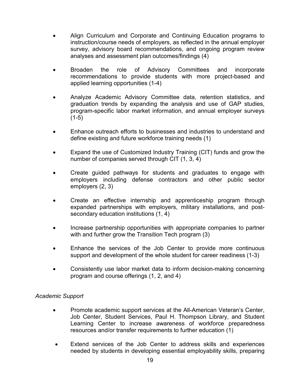- Align Curriculum and Corporate and Continuing Education programs to instruction/course needs of employers, as reflected in the annual employer survey, advisory board recommendations, and ongoing program review analyses and assessment plan outcomes/findings (4)
- Broaden the role of Advisory Committees and incorporate recommendations to provide students with more project-based and applied learning opportunities (1-4)
- Analyze Academic Advisory Committee data, retention statistics, and graduation trends by expanding the analysis and use of GAP studies, program-specific labor market information, and annual employer surveys  $(1-5)$
- Enhance outreach efforts to businesses and industries to understand and define existing and future workforce training needs (1)
- Expand the use of Customized Industry Training (CIT) funds and grow the number of companies served through CIT (1, 3, 4)
- Create guided pathways for students and graduates to engage with employers including defense contractors and other public sector employers (2, 3)
- Create an effective internship and apprenticeship program through expanded partnerships with employers, military installations, and postsecondary education institutions (1, 4)
- Increase partnership opportunities with appropriate companies to partner with and further grow the Transition Tech program (3)
- Enhance the services of the Job Center to provide more continuous support and development of the whole student for career readiness (1-3)
- Consistently use labor market data to inform decision-making concerning program and course offerings (1, 2, and 4)

# *Academic Support*

- Promote academic support services at the All-American Veteran's Center, Job Center, Student Services, Paul H. Thompson Library, and Student Learning Center to increase awareness of workforce preparedness resources and/or transfer requirements to further education (1)
- Extend services of the Job Center to address skills and experiences needed by students in developing essential employability skills, preparing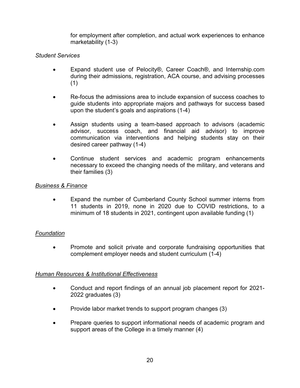for employment after completion, and actual work experiences to enhance marketability (1-3)

# *Student Services*

- Expand student use of Pelocity®, Career Coach®, and Internship.com during their admissions, registration, ACA course, and advising processes (1)
- Re-focus the admissions area to include expansion of success coaches to guide students into appropriate majors and pathways for success based upon the student's goals and aspirations (1-4)
- Assign students using a team-based approach to advisors (academic advisor, success coach, and financial aid advisor) to improve communication via interventions and helping students stay on their desired career pathway (1-4)
- Continue student services and academic program enhancements necessary to exceed the changing needs of the military, and veterans and their families (3)

## *Business & Finance*

• Expand the number of Cumberland County School summer interns from 11 students in 2019, none in 2020 due to COVID restrictions, to a minimum of 18 students in 2021, contingent upon available funding (1)

# *Foundation*

• Promote and solicit private and corporate fundraising opportunities that complement employer needs and student curriculum (1-4)

## *Human Resources & Institutional Effectiveness*

- Conduct and report findings of an annual job placement report for 2021- 2022 graduates (3)
- Provide labor market trends to support program changes (3)
- Prepare queries to support informational needs of academic program and support areas of the College in a timely manner (4)